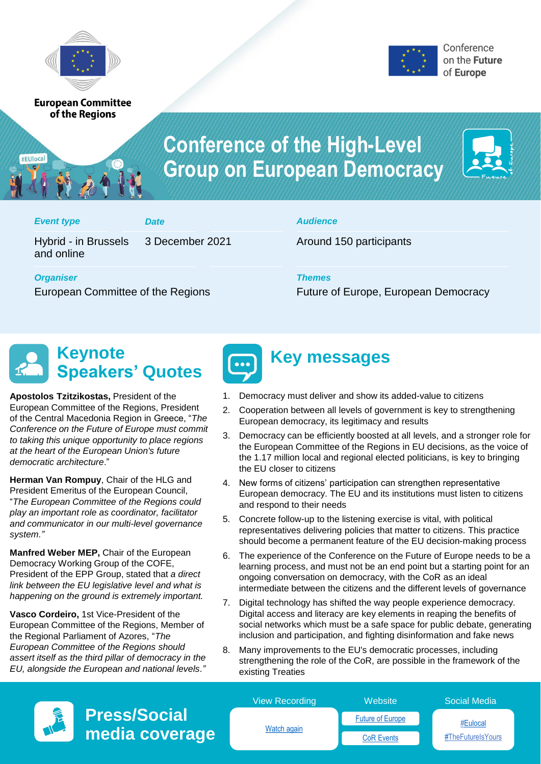

**European Committee** of the Regions



# **Conference of the High-Level Group on European Democracy**



#### *Event type Date Audience*

#EUlocal

Hybrid - in Brussels and online

3 December 2021 Around 150 participants

*Organiser Themes*

European Committee of the Regions Future of Europe, European Democracy

# **Keynote Speakers' Quotes**

**Apostolos Tzitzikostas,** President of the European Committee of the Regions, President of the Central Macedonia Region in Greece, "*The Conference on the Future of Europe must commit to taking this unique opportunity to place regions at the heart of the European Union's future democratic architecture*."

**Herman Van Rompuy**, Chair of the HLG and President Emeritus of the European Council, "*The European Committee of the Regions could play an important role as coordinator, facilitator and communicator in our multi-level governance system."* 

**Manfred Weber MEP,** Chair of the European Democracy Working Group of the COFE, President of the EPP Group, stated that *a direct link between the EU legislative level and what is happening on the ground is extremely important.* 

**Vasco Cordeiro,** 1st Vice-President of the European Committee of the Regions, Member of the Regional Parliament of Azores, "*The European Committee of the Regions should assert itself as the third pillar of democracy in the EU, alongside the European and national levels."*



## **Key messages**

- 1. Democracy must deliver and show its added-value to citizens
- 2. Cooperation between all levels of government is key to strengthening European democracy, its legitimacy and results
- 3. Democracy can be efficiently boosted at all levels, and a stronger role for the European Committee of the Regions in EU decisions, as the voice of the 1.17 million local and regional elected politicians, is key to bringing the EU closer to citizens
- 4. New forms of citizens' participation can strengthen representative European democracy. The EU and its institutions must listen to citizens and respond to their needs
- 5. Concrete follow-up to the listening exercise is vital, with political representatives delivering policies that matter to citizens. This practice should become a permanent feature of the EU decision-making process
- 6. The experience of the Conference on the Future of Europe needs to be a learning process, and must not be an end point but a starting point for an ongoing conversation on democracy, with the CoR as an ideal intermediate between the citizens and the different levels of governance
- 7. Digital technology has shifted the way people experience democracy. Digital access and literacy are key elements in reaping the benefits of social networks which must be a safe space for public debate, generating inclusion and participation, and fighting disinformation and fake news
- 8. Many improvements to the EU's democratic processes, including strengthening the role of the CoR, are possible in the framework of the existing Treaties

| $\sqrt{ }$ | <b>Press/Sod</b> |
|------------|------------------|
|            | media cov        |

|                | <b>View Recording</b> | Website                 | <b>Social Media</b> |
|----------------|-----------------------|-------------------------|---------------------|
| ial:           | Watch again           | <b>Future of Europe</b> | #Eulocal            |
| <i>v</i> erage |                       | <b>CoR Events</b>       | #TheFutureIsYours   |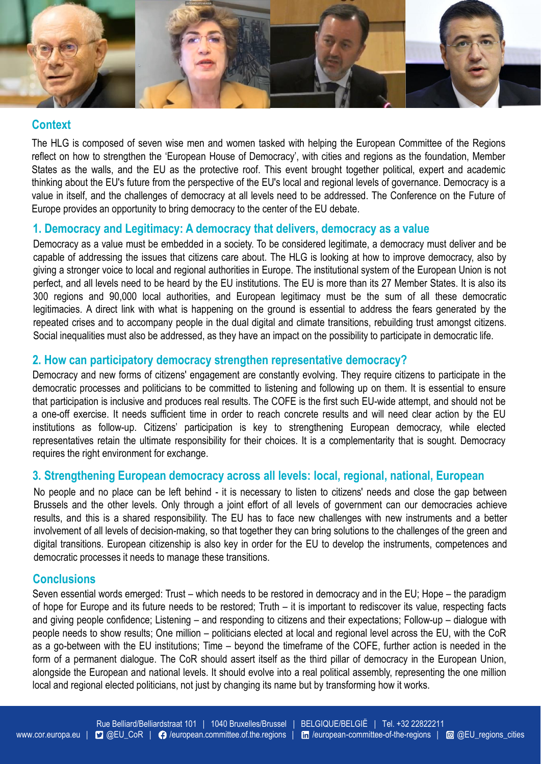

### **Context**

The HLG is composed of seven wise men and women tasked with helping the European Committee of the Regions reflect on how to strengthen the 'European House of Democracy', with cities and regions as the foundation, Member States as the walls, and the EU as the protective roof. This event brought together political, expert and academic thinking about the EU's future from the perspective of the EU's local and regional levels of governance. Democracy is a value in itself, and the challenges of democracy at all levels need to be addressed. The Conference on the Future of Europe provides an opportunity to bring democracy to the center of the EU debate.

### **1. Democracy and Legitimacy: A democracy that delivers, democracy as a value**

Democracy as a value must be embedded in a society. To be considered legitimate, a democracy must deliver and be capable of addressing the issues that citizens care about. The HLG is looking at how to improve democracy, also by giving a stronger voice to local and regional authorities in Europe. The institutional system of the European Union is not perfect, and all levels need to be heard by the EU institutions. The EU is more than its 27 Member States. It is also its 300 regions and 90,000 local authorities, and European legitimacy must be the sum of all these democratic legitimacies. A direct link with what is happening on the ground is essential to address the fears generated by the repeated crises and to accompany people in the dual digital and climate transitions, rebuilding trust amongst citizens. Social inequalities must also be addressed, as they have an impact on the possibility to participate in democratic life.

### **2. How can participatory democracy strengthen representative democracy?**

Democracy and new forms of citizens' engagement are constantly evolving. They require citizens to participate in the democratic processes and politicians to be committed to listening and following up on them. It is essential to ensure that participation is inclusive and produces real results. The COFE is the first such EU-wide attempt, and should not be a one-off exercise. It needs sufficient time in order to reach concrete results and will need clear action by the EU institutions as follow-up. Citizens' participation is key to strengthening European democracy, while elected representatives retain the ultimate responsibility for their choices. It is a complementarity that is sought. Democracy requires the right environment for exchange.

#### **3. Strengthening European democracy across all levels: local, regional, national, European**

No people and no place can be left behind - it is necessary to listen to citizens' needs and close the gap between Brussels and the other levels. Only through a joint effort of all levels of government can our democracies achieve results, and this is a shared responsibility. The EU has to face new challenges with new instruments and a better involvement of all levels of decision-making, so that together they can bring solutions to the challenges of the green and digital transitions. European citizenship is also key in order for the EU to develop the instruments, competences and democratic processes it needs to manage these transitions.

#### **Conclusions**

Seven essential words emerged: Trust – which needs to be restored in democracy and in the EU; Hope – the paradigm of hope for Europe and its future needs to be restored; Truth – it is important to rediscover its value, respecting facts and giving people confidence; Listening – and responding to citizens and their expectations; Follow-up – dialogue with people needs to show results; One million – politicians elected at local and regional level across the EU, with the CoR as a go-between with the EU institutions; Time – beyond the timeframe of the COFE, further action is needed in the form of a permanent dialogue. The CoR should assert itself as the third pillar of democracy in the European Union, alongside the European and national levels. It should evolve into a real political assembly, representing the one million local and regional elected politicians, not just by changing its name but by transforming how it works.